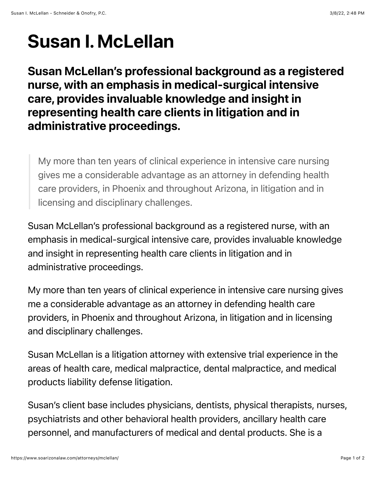## Susan I. McLellan

Susan McLellan's professional background as a registered nurse, with an emphasis in medical-surgical intensive care, provides invaluable knowledge and insight in representing health care clients in litigation and in administrative proceedings.

My more than ten years of clinical experience in intensive care nursing gives me a considerable advantage as an attorney in defending health care providers, in Phoenix and throughout Arizona, in litigation and in licensing and disciplinary challenges.

Susan McLellan's professional background as a registered nurse, with an emphasis in medical-surgical intensive care, provides invaluable knowledge and insight in representing health care clients in litigation and in administrative proceedings.

My more than ten years of clinical experience in intensive care nursing gives me a considerable advantage as an attorney in defending health care providers, in Phoenix and throughout Arizona, in litigation and in licensing and disciplinary challenges.

Susan McLellan is a litigation attorney with extensive trial experience in the areas of health care, medical malpractice, dental malpractice, and medical products liability defense litigation.

Susan's client base includes physicians, dentists, physical therapists, nurses, psychiatrists and other behavioral health providers, ancillary health care personnel, and manufacturers of medical and dental products. She is a